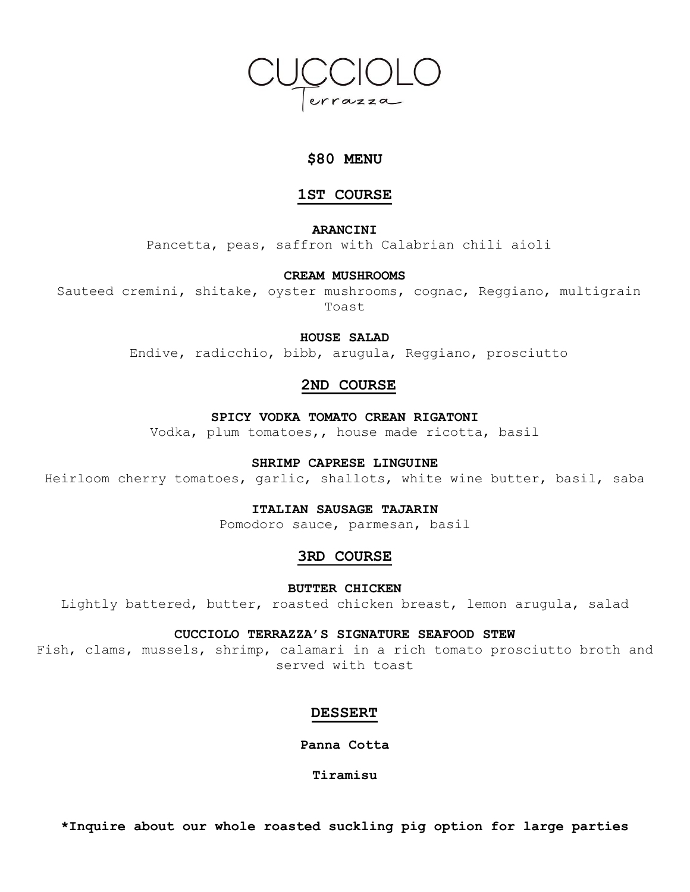

# **\$80 MENU**

# **1ST COURSE**

**ARANCINI**

Pancetta, peas, saffron with Calabrian chili aioli

### **CREAM MUSHROOMS**

Sauteed cremini, shitake, oyster mushrooms, cognac, Reggiano, multigrain Toast

**HOUSE SALAD**

Endive, radicchio, bibb, arugula, Reggiano, prosciutto

# **2ND COURSE**

## **SPICY VODKA TOMATO CREAN RIGATONI**

Vodka, plum tomatoes,, house made ricotta, basil

### **SHRIMP CAPRESE LINGUINE**

Heirloom cherry tomatoes, garlic, shallots, white wine butter, basil, saba

# **ITALIAN SAUSAGE TAJARIN**

Pomodoro sauce, parmesan, basil

# **3RD COURSE**

**BUTTER CHICKEN**

Lightly battered, butter, roasted chicken breast, lemon arugula, salad

### **CUCCIOLO TERRAZZA'S SIGNATURE SEAFOOD STEW**

Fish, clams, mussels, shrimp, calamari in a rich tomato prosciutto broth and served with toast

### **DESSERT**

**Panna Cotta**

**Tiramisu**

**\*Inquire about our whole roasted suckling pig option for large parties**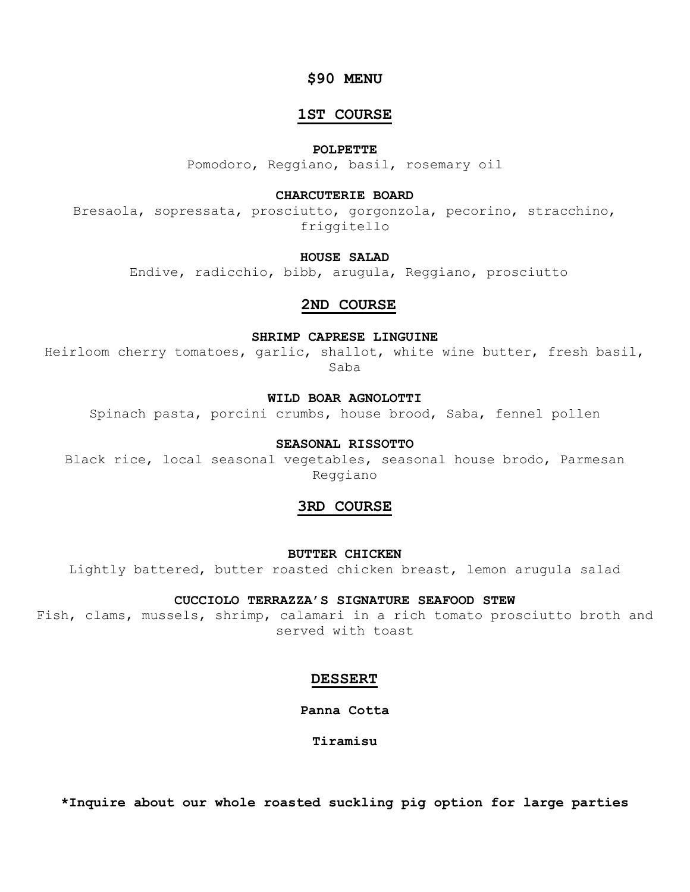# **\$90 MENU**

# **1ST COURSE**

## **POLPETTE**

Pomodoro, Reggiano, basil, rosemary oil

## **CHARCUTERIE BOARD**

Bresaola, sopressata, prosciutto, gorgonzola, pecorino, stracchino, friggitello

### **HOUSE SALAD**

Endive, radicchio, bibb, arugula, Reggiano, prosciutto

# **2ND COURSE**

### **SHRIMP CAPRESE LINGUINE**

Heirloom cherry tomatoes, garlic, shallot, white wine butter, fresh basil, Saba

# **WILD BOAR AGNOLOTTI**

Spinach pasta, porcini crumbs, house brood, Saba, fennel pollen

### **SEASONAL RISSOTTO**

Black rice, local seasonal vegetables, seasonal house brodo, Parmesan Reggiano

# **3RD COURSE**

**BUTTER CHICKEN**

Lightly battered, butter roasted chicken breast, lemon arugula salad

### **CUCCIOLO TERRAZZA'S SIGNATURE SEAFOOD STEW**

Fish, clams, mussels, shrimp, calamari in a rich tomato prosciutto broth and served with toast

## **DESSERT**

**Panna Cotta**

**Tiramisu**

**\*Inquire about our whole roasted suckling pig option for large parties**